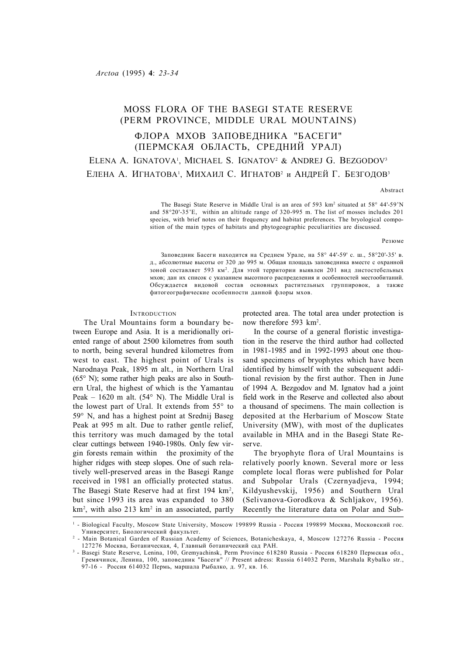# MOSS FLORA OF THE BASEGI STATE RESERVE (PERM PROVINCE, MIDDLE URAL MOUNTAINS) ФЛОРА МХОВ ЗАПОВЕДНИКА "БАСЕГИ" (ПЕРМСКАЯ ОБЛАСТЬ, СРЕДНИЙ УРАЛ) ELENA A. IGNATOVA<sup>1</sup>, MICHAEL S. IGNATOV<sup>2</sup> & ANDREJ G. BEZGODOV<sup>3</sup> Елена А. Игнатова<sup>і</sup>, Михаил С. Игнатов<sup>2</sup> и Андрей Г. Безгодов<sup>з</sup>

Abstract

The Basegi State Reserve in Middle Ural is an area of 593 km<sup>2</sup> situated at 58° 44'-59'N and 58°20'-35'E, within an altitude range of 320-995 m. The list of mosses includes 201 species, with brief notes on their frequency and habitat preferences. The bryological composition of the main types of habitats and phytogeographic peculiarities are discussed.

Резюме

Заповедник Басеги находится на Среднем Урале, на 58° 44'-59' с. ш., 58°20'-35' в. д., абсолютные высоты от 320 до 995 м. Общая площадь заповедника вместе с охранной зоной составляет 593 км<sup>2</sup>. Для этой территории выявлен 201 вид листостебельных мхов; дан их список с указанием высотного распределения и особенностей местообитаний. Обсуждается видовой состав основных растительных группировок, а также фитогеографические особенности данной флоры мхов.

#### **INTRODUCTION**

The Ural Mountains form a boundary between Europe and Asia. It is a meridionally oriented range of about 2500 kilometres from south to north, being several hundred kilometres from west to east. The highest point of Urals is Narodnaya Peak, 1895 m alt., in Northern Ural (65° N); some rather high peaks are also in Southern Ural, the highest of which is the Yamantau Peak – 1620 m alt.  $(54^{\circ}$  N). The Middle Ural is the lowest part of Ural. It extends from 55° to 59° N, and has a highest point at Srednij Baseg Peak at 995 m alt. Due to rather gentle relief, this territory was much damaged by the total clear cuttings between 1940-1980s. Only few virgin forests remain within the proximity of the higher ridges with steep slopes. One of such relatively well-preserved areas in the Basegi Range received in 1981 an officially protected status. The Basegi State Reserve had at first 194 km<sup>2</sup>, but since 1993 its area was expanded to 380 km<sup>2</sup>, with also 213 km<sup>2</sup> in an associated, partly

protected area. The total area under protection is now therefore 593 km<sup>2</sup>.

In the course of a general floristic investigation in the reserve the third author had collected in 1981-1985 and in 1992-1993 about one thousand specimens of bryophytes which have been identified by himself with the subsequent additional revision by the first author. Then in June of 1994 A. Bezgodov and M. Ignatov had a joint field work in the Reserve and collected also about a thousand of specimens. The main collection is deposited at the Herbarium of Moscow State University (MW), with most of the duplicates available in MHA and in the Basegi State Reserve.

The bryophyte flora of Ural Mountains is relatively poorly known. Several more or less complete local floras were published for Polar and Subpolar Urals (Czernyadjeva, 1994; Kildyushevskij, 1956) and Southern Ural (Selivanova-Gorodkova & Schljakov, 1956). Recently the literature data on Polar and Sub-

<sup>1</sup> - Biological Faculty, Moscow State University, Moscow 199899 Russia - Россия 199899 Москва, Московский гос. Университет, Биологический факультет.

<sup>2</sup> - Main Botanical Garden of Russian Academy of Sciences, Botanicheskaya, 4, Moscow 127276 Russia - Россия 127276 Москва, Ботаническая, 4, Главный ботанический сад РАН.

<sup>3</sup> - Basegi State Reserve, Lenina, 100, Gremyachinsk, Perm Province 618280 Russia - Россия 618280 Пермская обл., Гремячинск, Ленина, 100, заповедник "Басеги" // Present adress: Russia 614032 Perm, Marshala Rybalko str., 97-16 - Россия 614032 Пермь, маршала Рыбалко, д. 97, кв. 16.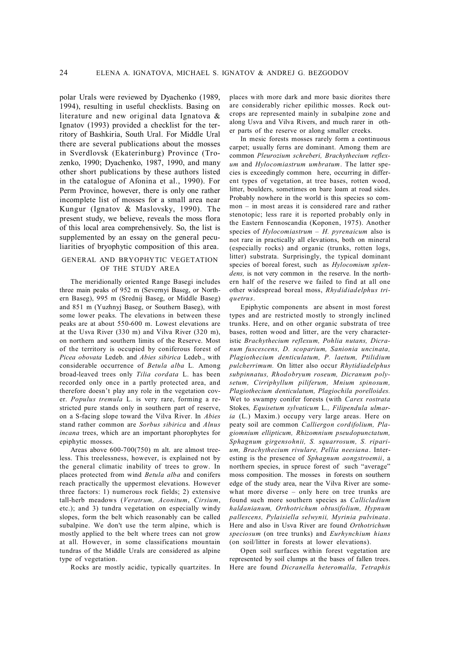polar Urals were reviewed by Dyachenko (1989, 1994), resulting in useful checklists. Basing on literature and new original data Ignatova & Ignatov (1993) provided a checklist for the territory of Bashkiria, South Ural. For Middle Ural there are several publications about the mosses in Sverdlovsk (Ekaterinburg) Province (Trozenko, 1990; Dyachenko, 1987, 1990, and many other short publications by these authors listed in the catalogue of Afonina et al., 1990). For Perm Province, however, there is only one rather incomplete list of mosses for a small area near Kungur (Ignatov & Maslovsky, 1990). The present study, we believe, reveals the moss flora of this local area comprehensively. So, the list is supplemented by an essay on the general peculiarities of bryophytic composition of this area.

# GENERAL AND BRYOPHYTIC VEGETATION OF THE STUDY AREA

The meridionally oriented Range Basegi includes three main peaks of 952 m (Severnyi Baseg, or Northern Baseg), 995 m (Srednij Baseg, or Middle Baseg) and 851 m (Yuzhnyj Baseg, or Southern Baseg), with some lower peaks. The elevations in between these peaks are at about 550-600 m. Lowest elevations are at the Usva River (330 m) and Vilva River (320 m), on northern and southern limits of the Reserve. Most of the territory is occupied by coniferous forest of *Picea obovata* Ledeb. and *Abies sibirica* Ledeb., with considerable occurrence of *Betula alba* L*.* Among broad-leaved trees only *Tilia cordata* L. has been recorded only once in a partly protected area, and therefore doesn't play any role in the vegetation cover. *Populus tremula* L. is very rare, forming a restricted pure stands only in southern part of reserve, on a S-facing slope toward the Vilva River. In *Abies* stand rather common are *Sorbus sibirica* and *Alnus incana* trees, which are an important phorophytes for epiphytic mosses.

Areas above 600-700(750) m alt. are almost treeless. This treelessness, however, is explained not by the general climatic inability of trees to grow. In places protected from wind *Betula alba* and conifers reach practically the uppermost elevations. However three factors: 1) numerous rock fields; 2) extensive tall-herb meadows (*Veratrum, Aconitum*, *Cirsium*, etc.); and 3) tundra vegetation on especially windy slopes, form the belt which reasonably can be called subalpine. We don't use the term alpine, which is mostly applied to the belt where trees can not grow at all. However, in some classifications mountain tundras of the Middle Urals are considered as alpine type of vegetation.

Rocks are mostly acidic, typically quartzites. In

places with more dark and more basic diorites there are considerably richer epilithic mosses. Rock outcrops are represented mainly in subalpine zone and along Usva and Vilva Rivers, and much rarer in other parts of the reserve or along smaller creeks.

In mesic forests mosses rarely form a continuous carpet; usually ferns are dominant. Among them are common *Pleurozium schreberi, Brachythecium reflexum* and *Hylocomiastrum umbratum*. The latter species is exceedingly common here, occurring in different types of vegetation, at tree bases, rotten wood, litter, boulders, sometimes on bare loam at road sides. Probably nowhere in the world is this species so common – in most areas it is considered rare and rather stenotopic; less rare it is reported probably only in the Eastern Fennoscandia (Koponen, 1975). Another species of *Hylocomiastrum – H. pyrenaicum* also is not rare in practically all elevations, both on mineral (especially rocks) and organic (trunks, rotten logs, litter) substrata. Surprisingly, the typical dominant species of boreal forest, such as *Hylocomium splendens,* is not very common in the reserve. In the northern half of the reserve we failed to find at all one other widespread boreal moss, *Rhydidiadelphus triquetrus*.

Epiphytic components are absent in most forest types and are restricted mostly to strongly inclined trunks. Here, and on other organic substrata of tree bases, rotten wood and litter, are the very characteristic *Brachythecium reflexum, Pohlia nutans, Dicranum fuscescens, D. scoparium, Sanionia uncinata, Plagiothecium denticulatum, P. laetum, Ptilidium pulcherrimum.* On litter also occur *Rhytidiadelphus subpinnatus, Rhodobryum roseum, Dicranum polysetum, Cirriphyllum piliferum, Mnium spinosum, Plagiothecium denticulatum, Plagiochila porelloides.* Wet to swampy conifer forests (with *Carex rostrata* Stokes*, Equisetum sylvaticum* L.*, Filipendula ulmaria* (L.) Maxim.) occupy very large areas. Here on peaty soil are common *Calliergon cordifolium, Plagiomnium ellipticum, Rhizomnium pseudopunctatum, Sphagnum girgensohnii, S. squarrosum, S. riparium, Brachythecium rivulare, Pellia neesiana*. Interesting is the presence of *Sphagnum aongstroemii*, a northern species, in spruce forest of such "average" moss composition. The mosses in forests on southern edge of the study area, near the Vilva River are somewhat more diverse – only here on tree trunks are found such more southern species as *Callicladium haldanianum, Orthotrichum obtusifolium, Hypnum pallescens, Pylaisiella selwynii, Myrinia pulvinata*. Here and also in Usva River are found *Orthotrichum speciosum* (on tree trunks) and *Eurhynchium hians* (on soil/litter in forests at lower elevations).

Open soil surfaces within forest vegetation are represented by soil clumps at the bases of fallen trees. Here are found *Dicranella heteromalla, Tetraphis*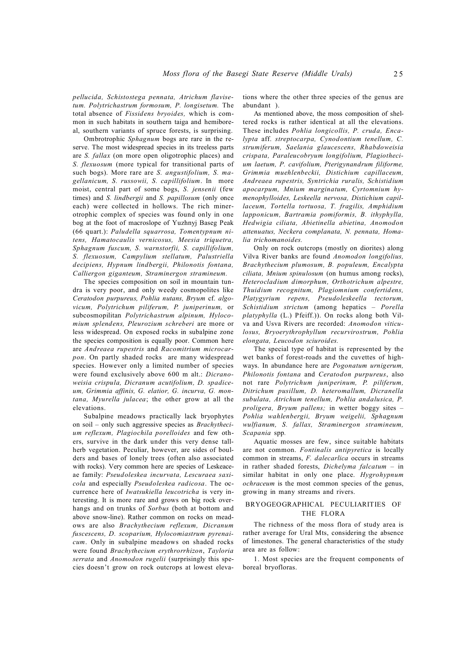*pellucida, Schistostega pennata, Atrichum flavisetum. Polytrichastrum formosum, P. longisetum.* The total absence of *Fissidens bryoides,* which is common in such habitats in southern taiga and hemiboreal, southern variants of spruce forests, is surprising.

Ombrotrophic *Sphagnum* bogs are rare in the reserve. The most widespread species in its treeless parts are *S. fallax* (on more open oligotrophic places) and *S. flexuosum* (more typical for transitional parts of such bogs). More rare are *S. angustifolium, S. magellanicum, S. russowii, S. capillifolium*. In more moist, central part of some bogs, *S. jensenii* (few times) and *S. lindbergii* and *S. papillosum* (only once each) were collected in hollows. The rich minerotrophic complex of species was found only in one bog at the foot of macroslope of Yuzhnyj Baseg Peak (66 quart.): *Paludella squarrosa, Tomentypnum nitens, Hamatocaulis vernicosus, Meesia triquetra, Sphagnum fuscum, S. warnstorfii, S. capillifolium, S. flexuosum, Campylium stellatum, Palustriella decipiens, Hypnum lindbergii, Philonotis fontana, Calliergon giganteum, Straminergon stramineum.*

The species composition on soil in mountain tundra is very poor, and only weedy cosmopolites like *Ceratodon purpureus, Pohlia nutans, Bryum* cf. *algovicum, Polytrichum piliferum, P. juniperinum,* or subcosmopilitan *Polytrichastrum alpinum, Hylocomium splendens, Pleurozium schreberi* are more or less widespread. On exposed rocks in subalpine zone the species composition is equally poor. Common here are *Andreaea rupestris* and *Racomitrium microcarpon*. On partly shaded rocks are many widespread species. However only a limited number of species were found exclusively above 600 m alt.: *Dicranoweisia crispula, Dicranum acutifolium, D. spadiceum, Grimmia affinis, G. elatior, G. incurva, G. montana, Myurella julacea*; the other grow at all the elevations.

Subalpine meadows practically lack bryophytes on soil – only such aggressive species as *Brachythecium reflexum, Plagiochila porelloides* and few others, survive in the dark under this very dense tallherb vegetation. Peculiar, however, are sides of boulders and bases of lonely trees (often also associated with rocks). Very common here are species of Leskeaceae family: *Pseudoleskea incurvata, Lescuraea saxicola* and especially *Pseudoleskea radicosa*. The occurrence here of *Iwatsukiella leucotricha* is very interesting. It is more rare and grows on big rock overhangs and on trunks of *Sorbus* (both at bottom and above snow-line). Rather common on rocks on meadows are also *Brachythecium reflexum, Dicranum fuscescens, D. scoparium, Hylocomiastrum pyrenaicum*. Only in subalpine meadows on shaded rocks were found *Brachythecium erythrorrhizon*, *Tayloria serrata* and *Anomodon rugelii* (surprisingly this species doesn't grow on rock outcrops at lowest elevations where the other three species of the genus are abundant ).

As mentioned above, the moss composition of sheltered rocks is rather identical at all the elevations. These includes *Pohlia longicollis, P. cruda, Encalypta* aff. *streptocarpa, Cynodontium tenellum, C. strumiferum, Saelania glaucescens, Rhabdoweisia crispata, Paraleucobryum longifolium, Plagiothecium laetum, P. cavifolium, Pterigynandrum filiforme, Grimmia muehlenbeckii, Distichium capillaceum, Andreaea rupestris, Syntrichia ruralis, Schistidium apocarpum, Mnium marginatum, Cyrtomnium hymenophylloides, Leskeella nervosa, Distichium capillaceum, Tortella tortuosa, T. fragilis, Amphidium lapponicum, Bartramia pomiformis, B. ithyphylla, Hedwigia ciliata, Abietinella abietina, Anomodon attenuatus, Neckera complanata, N. pennata, Homalia trichomanoides.*

Only on rock outcrops (mostly on diorites) along Vilva River banks are found *Anomodon longifolius, Brachythecium plumosum, B. populeum, Encalypta ciliata, Mnium spinulosum* (on humus among rocks), *Heterocladium dimorphum, Orthotrichum alpestre, Thuidium recognitum, Plagiomnium confertidens, Platygyrium repens, Pseudoleskeella tectorum, Schistidium strictum* (among hepatics – *Porella platyphylla* (L.) Pfeiff.)). On rocks along both Vilva and Usva Rivers are recorded: *Anomodon viticulosus, Bryoerythrophyllum recurvirostrum, Pohlia elongata, Leucodon sciuroides.*

The special type of habitat is represented by the wet banks of forest-roads and the cuvettes of highways. In abundance here are *Pogonatum urnigerum, Philonotis fontana* and *Ceratodon purpureus*, also not rare *Polytrichum juniperinum, P. piliferum, Ditrichum pusillum, D. heteromallum, Dicranella subulata, Atrichum tenellum, Pohlia andalusica, P. proligera, Bryum pallens;* in wetter boggy sites – *Pohlia wahlenbergii, Bryum weigelii, Sphagnum wulfianum, S. fallax, Straminergon stramineum, Scapania* spp*.*

Aquatic mosses are few, since suitable habitats are not common. *Fontinalis antipyretica* is locally common in streams, *F. dalecarlica* occurs in streams in rather shaded forests, *Dichelyma falcatum* – in similar habitat in only one place. *Hygrohypnum ochraceum* is the most common species of the genus, growing in many streams and rivers.

# BRYOGEOGRAPHICAL PECULIARITIES OF THE FLORA

The richness of the moss flora of study area is rather average for Ural Mts, considering the absence of limestones. The general characteristics of the study area are as follow:

1. Most species are the frequent components of boreal bryofloras.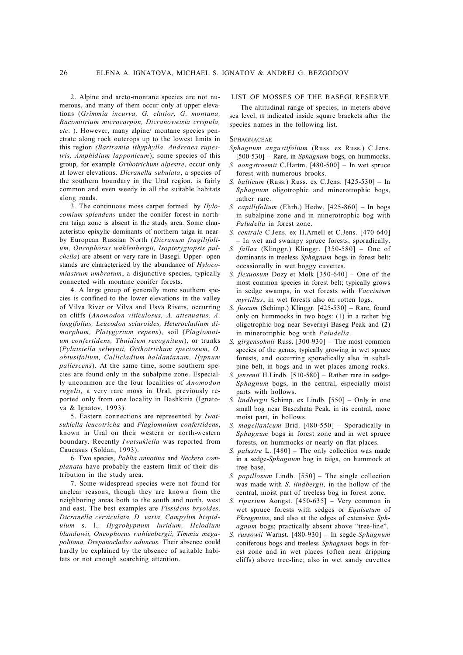2. Alpine and arcto-montane species are not numerous, and many of them occur only at upper elevations (*Grimmia incurva, G. elatior, G. montana, Racomitrium microcarpon, Dicranoweisia crispula, etc*. ). However, many alpine/ montane species penetrate along rock outcrops up to the lowest limits in this region *(Bartramia ithyphylla, Andreaea rupestris, Amphidium lapponicum*); some species of this group, for example *Orthotrichum alpestre*, occur only at lower elevations. *Dicranella subulata*, a species of the southern boundary in the Ural region, is fairly common and even weedy in all the suitable habitats along roads.

3. The continuous moss carpet formed by *Hylocomium splendens* under the conifer forest in northern taiga zone is absent in the study area. Some characteristic epixylic dominants of northern taiga in nearby European Russian North (*Dicranum fragilifolium, Oncophorus wahlenbergii, Isopterygiopsis pulchella*) are absent or very rare in Basegi. Upper open stands are characterized by the abundance of *Hylocomiastrum umbratum*, a disjunctive species, typically connected with montane conifer forests.

4. A large group of generally more southern species is confined to the lower elevations in the valley of Vilva River or Vilva and Usva Rivers, occurring on cliffs (*Anomodon viticulosus, A. attenuatus, A. longifolius, Leucodon sciuroides, Heterocladium dimorphum, Platygyrium repens*), soil (*Plagiomnium confertidens, Thuidium recognitum*), or trunks (*Pylaisiella selwynii, Orthotrichum speciosum, O. obtusifolium, Callicladium haldanianum, Hypnum pallescens*). At the same time, some southern species are found only in the subalpine zone. Especially uncommon are the four localities of *Anomodon rugelii*, a very rare moss in Ural, previously reported only from one locality in Bashkiria (Ignatova & Ignatov, 1993).

5. Eastern connections are represented by *Iwatsukiella leucotricha* and *Plagiomnium confertidens*, known in Ural on their western or north-western boundary. Recently *Iwatsukiella* was reported from Caucasus (Soldan, 1993).

6. Two species, *Pohlia annotina* and *Neckera complanata* have probably the eastern limit of their distribution in the study area.

7. Some widespread species were not found for unclear reasons, though they are known from the neighboring areas both to the south and north, west and east. The best examples are *Fissidens bryoides, Dicranella cerviculata, D. varia, Campylim hispidulum* s. l.*, Hygrohypnum luridum, Helodium blandowii, Oncophorus wahlenbergii, Timmia megapolitana, Drepanocladus aduncus.* Their absence could hardly be explained by the absence of suitable habitats or not enough searching attention.

# LIST OF MOSSES OF THE BASEGI RESERVE

The altitudinal range of species, in meters above sea level, IS indicated inside square brackets after the species names in the following list.

**SPHAGNACEAE** 

- *Sphagnum angustifolium* (Russ. ex Russ.) C.Jens. [500-530] – Rare, in *Sphagnum* bogs, on hummocks.
- *S. aongstroemii* C.Hartm. [480-500] In wet spruce forest with numerous brooks.
- *S. balticum* (Russ.) Russ. ex C.Jens. [425-530] In *Sphagnum* oligotrophic and minerotrophic bogs, rather rare.
- *S. capillifolium* (Ehrh.) Hedw. [425-860] In bogs in subalpine zone and in minerotrophic bog with *Paludella* in forest zone.
- *S. centrale* C.Jens. ex H.Arnell et C.Jens. [470-640] – In wet and swampy spruce forests, sporadically.
- *S. fallax* (Klinggr.) Klinggr. [350-580] One of dominants in treeless *Sphagnum* bogs in forest belt; occasionally in wet boggy cuvettes.
- *S. flexuosum* Dozy et Molk [350-640] One of the most common species in forest belt; typically grows in sedge swamps, in wet forests with *Vaccinium myrtillus*; in wet forests also on rotten logs.
- *S. fuscum* (Schimp.) Klinggr. [425-530] Rare, found only on hummocks in two bogs: (1) in a rather big oligotrophic bog near Severnyi Baseg Peak and (2) in minerotriphic bog with *Paludella*.
- *S. girgensohnii* Russ. [300-930] The most common species of the genus, typically growing in wet spruce forests, and occurring sporadically also in subalpine belt, in bogs and in wet places among rocks.
- *S. jensenii* H.Lindb. [510-580] Rather rare in sedge-*Sphagnum* bogs, in the central, especially moist parts with hollows.
- *S. lindbergii* Schimp. ex Lindb. [550] Only in one small bog near Basezhata Peak, in its central, more moist part, in hollows.
- *S. magellanicum* Brid. [480-550] Sporadically in *Sphagnum* bogs in forest zone and in wet spruce forests, on hummocks or nearly on flat places.
- *S. palustre* L. [480] The only collection was made in a sedge-*Sphagnum* bog in taiga, on hummock at tree base.
- *S. papillosum* Lindb. [550] The single collection was made with *S. lindbergii,* in the hollow of the central, moist part of treeless bog in forest zone.
- *S. riparium* Aongst. [450-635] Very common in wet spruce forests with sedges or *Equisetum* of *Phragmites*, and also at the edges of extensive *Sphagnum* bogs; practically absent above "tree-line".
- *S. russowii* Warnst. [480-930] In segde-*Sphagnum* coniferous bogs and treeless *Sphagnum* bogs in forest zone and in wet places (often near dripping cliffs) above tree-line; also in wet sandy cuvettes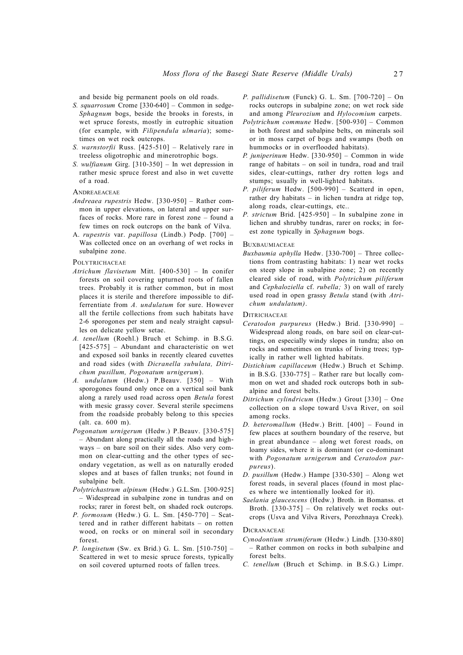and beside big permanent pools on old roads.

- *S. squarrosum* Crome [330-640] Common in sedge-*Sphagnum* bogs, beside the brooks in forests, in wet spruce forests, mostly in eutrophic situation (for example, with *Filipendula ulmaria*); sometimes on wet rock outcrops.
- *S. warnstorfii* Russ. [425-510] Relatively rare in treeless oligotrophic and minerotrophic bogs.
- *S. wulfianum* Girg. [310-350] In wet depression in rather mesic spruce forest and also in wet cuvette of a road.

#### **ANDREAEACEAE**

- *Andreaea rupestris* Hedw. [330-950] Rather common in upper elevations, on lateral and upper surfaces of rocks. More rare in forest zone – found a few times on rock outcrops on the bank of Vilva.
- A. *rupestris* var. *papillosa* (Lindb.) Podp. [700] Was collected once on an overhang of wet rocks in subalpine zone.

**POLYTRICHACEAE** 

- *Atrichum flavisetum* Mitt. [400-530] In conifer forests on soil covering upturned roots of fallen trees. Probably it is rather common, but in most places it is sterile and therefore impossible to differrentiate from *A. undulatum* for sure. However all the fertile collections from such habitats have 2-6 sporogones per stem and nealy straight capsulles on delicate yellow setae.
- *A. tenellum* (Roehl.) Bruch et Schimp. in B.S.G. [425-575] – Abundant and characteristic on wet and exposed soil banks in recently cleared cuvettes and road sides (with *Dicranella subulata, Ditrichum pusillum, Pogonatum urnigerum*).
- *A. undulatum* (Hedw.) P.Beauv. [350] With sporogones found only once on a vertical soil bank along a rarely used road across open *Betula* forest with mesic grassy cover. Several sterile specimens from the roadside probably belong to this species (alt. ca. 600 m).
- *Pogonatum urnigerum* (Hedw.) P.Beauv. [330-575] – Abundant along practically all the roads and highways – on bare soil on their sides. Also very common on clear-cutting and the other types of secondary vegetation, as well as on naturally eroded slopes and at bases of fallen trunks; not found in subalpine belt.
- *Polytrichastrum alpinum* (Hedw.) G.L.Sm. [300-925] – Widespread in subalpine zone in tundras and on rocks; rarer in forest belt, on shaded rock outcrops.
- *P. formosum* (Hedw.) G. L. Sm. [450-770] Scattered and in rather different habitats – on rotten wood, on rocks or on mineral soil in secondary forest.
- *P. longisetum* (Sw. ex Brid.) G. L. Sm. [510-750] Scattered in wet to mesic spruce forests, typically on soil covered upturned roots of fallen trees.
- *P. pallidisetum* (Funck) G. L. Sm. [700-720] On rocks outcrops in subalpine zone; on wet rock side and among *Pleurozium* and *Hylocomium* carpets.
- *Polytrichum commune* Hedw. [500-930] Common in both forest and subalpine belts, on minerals soil or in moss carpet of bogs and swamps (both on hummocks or in overflooded habitats).
- *P. juniperinum* Hedw. [330-950] Common in wide range of habitats – on soil in tundra, road and trail sides, clear-cuttings, rather dry rotten logs and stumps; usually in well-lighted habitats.
- *P. piliferum* Hedw. [500-990] Scatterd in open, rather dry habitats – in lichen tundra at ridge top, along roads, clear-cuttings, etc..
- *P. strictum* Brid. [425-950] In subalpine zone in lichen and shrubby tundras, rarer on rocks; in forest zone typically in *Sphagnum* bogs.

#### **BUXBAUMIACEAE**

*Buxbaumia aphylla* Hedw. [330-700] – Three collections from contrasting habitats: 1) near wet rocks on steep slope in subalpine zone; 2) on recently cleared side of road, with *Polytrichum piliferum* and *Cephaloziella* cf. *rubella;* 3) on wall of rarely used road in open grassy *Betula* stand (with *Atrichum undulatum)*.

#### **DITRICHACEAE**

- *Ceratodon purpureus* (Hedw.) Brid. [330-990] Widespread along roads, on bare soil on clear-cuttings, on especially windy slopes in tundra; also on rocks and sometimes on trunks of living trees; typically in rather well lighted habitats.
- *Distichium capillaceum* (Hedw.) Bruch et Schimp. in B.S.G.  $[330-775]$  – Rather rare but locally common on wet and shaded rock outcrops both in subalpine and forest belts.
- *Ditrichum cylindricum* (Hedw.) Grout [330] One collection on a slope toward Usva River, on soil among rocks.
- *D. heteromallum* (Hedw.) Britt. [400] Found in few places at southern boundary of the reserve, but in great abundance – along wet forest roads, on loamy sides, where it is dominant (or co-dominant with *Pogonatum urnigerum* and *Ceratodon purpureus*).
- *D. pusillum* (Hedw.) Hampe [330-530] Along wet forest roads, in several places (found in most places where we intentionally looked for it).
- *Saelania glaucescens* (Hedw.) Broth. in Bomanss. et Broth. [330-375] – On relatively wet rocks outcrops (Usva and Vilva Rivers, Porozhnaya Creek).

#### **DICRANACEAE**

- *Cynodontium strumiferum* (Hedw.) Lindb. [330-880] – Rather common on rocks in both subalpine and forest belts.
- *C. tenellum* (Bruch et Schimp. in B.S.G.) Limpr.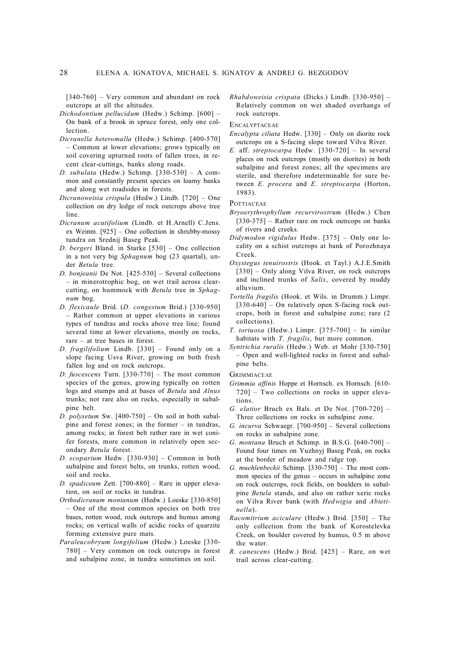[340-760] – Very common and abundant on rock outcrops at all the altitudes.

- *Dichodontium pellucidum* (Hedw.) Schimp. [600] On bank of a brook in spruce forest, only one collection.
- *Dicranella heteromalla* (Hedw.) Schimp. [400-570] – Common at lower elevations; grows typically on soil covering upturned roots of fallen trees, in recent clear-cuttings, banks along roads.
- *D. subulata* (Hedw.) Schimp. [330-530] A common and constantly present species on loamy banks and along wet roadsides in forests.
- *Dicranoweisia crispula* (Hedw.) Lindb. [720] One collection on dry ledge of rock outcrops above tree line.
- *Dicranum acutifolium* (Lindb. et H.Arnell) C.Jens. ex Weinm. [925] – One collection in shrubby-mossy tundra on Srednij Baseg Peak.
- *D. bergeri* Bland. in Starke [530] One collection in a not very big *Sphagnum* bog (23 quartal), under *Betula* tree.
- *D. bonjeanii* De Not. [425-530] Several collections – in minerotrophic bog, on wet trail across clearcutting, on hummock with *Betula* tree in *Sphagnum* bog.
- *D. flexicaule* Brid. (*D. congestum* Brid.) [330-950] – Rather common at upper elevations in various types of tundras and rocks above tree line; found several time at lower elevations, mostly on rocks, rare – at tree bases in forest.
- *D. fragilifolium* Lindb. [330] Found only on a slope facing Usva River, growing on both fresh fallen log and on rock outcrops.
- *D. fuscescens* Turn. [330-770] The most common species of the genus, growing typically on rotten logs and stumps and at bases of *Betula* and *Alnus* trunks; not rare also on rocks, especially in subalpine belt.
- *D. polysetum* Sw. [400-750] On soil in both subalpine and forest zones; in the former – in tundras, among rocks; in forest belt rather rare in wet conifer forests, more common in relatively open secondary *Betula* forest.
- *D. scoparium* Hedw. [330-930] Common in both subalpine and forest belts, on trunks, rotten wood, soil and rocks.
- *D. spadiceum* Zett. [700-880] Rare in upper elevation, on soil or rocks in tundras.
- *Orthodicranum montanum* (Hedw.) Loeske [330-850] – One of the most common species on both tree bases, rotten wood, rock outcrops and humus among rocks; on vertical walls of acidic rocks of quarzite forming extensive pure mats.
- *Paraleucobryum longifolium* (Hedw.) Loeske [330- 780] – Very common on rock outcrops in forest and subalpine zone, in tundra sometimes on soil.

*Rhabdoweisia crispata* (Dicks.) Lindb. [330-950] – Relatively common on wet shaded overhangs of rock outcrops.

# **ENCALYPTACEAE**

- *Encalypta ciliata* Hedw. [330] Only on diorite rock outcrops on a S-facing slope toward Vilva River.
- *E.* aff. *streptocarpa* Hedw. [330-720] In several places on rock outcrops (mostly on diorites) in both subalpine and forest zones; all the specimens are sterile, and therefore indeterminable for sure between *E. procera* and *E. streptocarpa* (Horton, 1983).

# **POTTIACEAE**

- *Bryoerythrophyllum recurvirostrum* (Hedw.) Chen  $[330-375]$  – Rather rare on rock outrcops on banks of rivers and creeks.
- *Didymodon rigidulus* Hedw. [375] Only one locality on a schist outcrops at bank of Porozhnaya Creek.
- *Oxystegus tenuirostris* (Hook. et Tayl.) A.J.E.Smith [330] – Only along Vilva River, on rock outcrops and inclined trunks of *Salix*, covered by muddy alluvium.
- *Tortella fragilis* (Hook. et Wils. in Drumm.) Limpr. [330-640] – On relatively open S-facing rock outcrops, both in forest and subalpine zone; rare (2 collections).
- *T. tortuosa* (Hedw.) Limpr. [375-700] In similar habitats with *T. fragilis*, but more common.
- *Syntrichia ruralis* (Hedw.) Web. et Mohr [330-750] – Open and well-lighted rocks in forest and subalpine belts.

**GRIMMIACEAE** 

- *Grimmia affinis* Hoppe et Hornsch. ex Hornsch. [610- 720] – Two collections on rocks in upper elevations.
- *G. elatior* Bruch ex Bals. et De Not. [700-720] Three collections on rocks in subalpine zone.
- *G. incurva* Schwaegr. [700-950] Several collections on rocks in subalpine zone.
- *G. montana* Bruch et Schimp. in B.S.G. [640-700] Found four times on Yuzhnyj Baseg Peak, on rocks at the border of meadow and ridge top.
- *G. muehlenbeckii* Schimp. [330-750] The most common species of the genus – occurs in subalpine zone on rock outcrops, rock fields, on boulders in subalpine *Betula* stands, and also on rather xeric rocks on Vilva River bank (with *Hedwigia* and *Abietinella*).
- *Racomitrium aciculare* (Hedw.) Brid. [350] The only collection from the bank of Korostelevka Creek, on boulder covered by humus, 0.5 m above the water.
- *R. canescens* (Hedw.) Brid. [425] Rare, on wet trail across clear-cutting.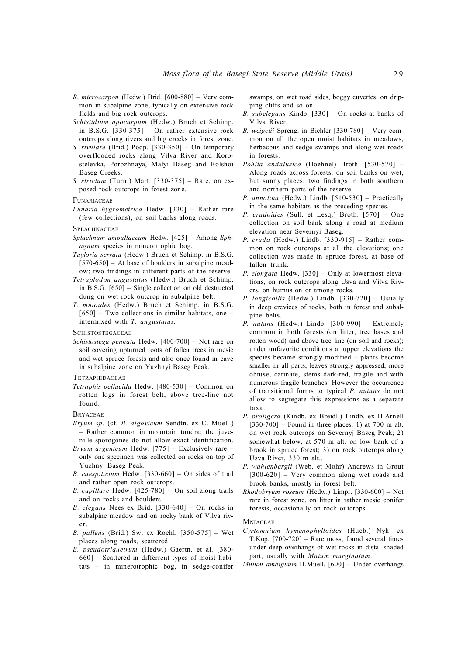- *R. microcarpon* (Hedw.) Brid. [600-880] Very common in subalpine zone, typically on extensive rock fields and big rock outcrops.
- *Schistidium apocarpum* (Hedw.) Bruch et Schimp. in B.S.G. [330-375] – On rather extensive rock outcrops along rivers and big creeks in forest zone.
- *S. rivulare* (Brid.) Podp. [330-350] On temporary overflooded rocks along Vilva River and Korostelevka, Porozhnaya, Malyi Baseg and Bolshoi Baseg Creeks.
- *S. strictum* (Turn.) Mart. [330-375] Rare, on exposed rock outcrops in forest zone.

#### FUNARIACEAE

*Funaria hygrometrica* Hedw. [330] – Rather rare (few collections), on soil banks along roads.

#### **SPLACHNACEAE**

- *Splachnum ampullaceum* Hedw. [425] Among *Sphagnum* species in minerotrophic bog.
- *Tayloria serrata* (Hedw.) Bruch et Schimp. in B.S.G.  $[570-650]$  – At base of boulders in subalpine meadow; two findings in different parts of the reserve.
- *Tetraplodon angustatus* (Hedw.) Bruch et Schimp. in B.S.G. [650] – Single collection on old destructed dung on wet rock outcrop in subalpine belt.
- *T. mnioides* (Hedw.) Bruch et Schimp. in B.S.G.  $[650]$  – Two collections in similar habitats, one – intermixed with *T. angustatus.*

**SCHISTOSTEGACEAE** 

*Schistostega pennata* Hedw. [400-700] – Not rare on soil covering upturned roots of fallen trees in mesic and wet spruce forests and also once found in cave in subalpine zone on Yuzhnyi Baseg Peak.

# **TETRAPHIDACEAE**

*Tetraphis pellucida* Hedw. [480-530] – Common on rotten logs in forest belt, above tree-line not found.

**BRYACEAE** 

- *Bryum sp.* (cf*. B. algovicum* Sendtn. ex C. Muell.) – Rather common in mountain tundra; the juvenille sporogones do not allow exact identification.
- *Bryum argenteum* Hedw. [775] Exclusively rare only one specimen was collected on rocks on top of Yuzhnyj Baseg Peak.
- *B. caespiticium* Hedw. [330-660] On sides of trail and rather open rock outcrops.
- *B. capillare* Hedw. [425-780] On soil along trails and on rocks and boulders.
- *B. elegans* Nees ex Brid. [330-640] On rocks in subalpine meadow and on rocky bank of Vilva river.
- *B. pallens* (Brid.) Sw. ex Roehl. [350-575] Wet places along roads, scattered.
- *B. pseudotriquetrum* (Hedw.) Gaertn. et al. [380- 660] – Scattered in differrent types of moist habitats – in minerotrophic bog, in sedge-conifer

swamps, on wet road sides, boggy cuvettes, on dripping cliffs and so on.

- *B. subelegans* Kindb. [330] On rocks at banks of Vilva River.
- *B. weigelii* Spreng. in Biehler [330-780] Very common on all the open moist habitats in meadows, herbacous and sedge swamps and along wet roads in forests.
- *Pohlia andalusica* (Hoehnel) Broth. [530-570] Along roads across forests, on soil banks on wet, but sunny places; two findings in both southern and northern parts of the reserve.
- *P. annotina* (Hedw.) Lindb. [510-530] Practically in the same habitats as the preceding species.
- *P. crudoides* (Sull. et Lesq.) Broth. [570] One collection on soil bank along a road at medium elevation near Severnyi Baseg.
- *P. cruda* (Hedw.) Lindb. [330-915] Rather common on rock outcrops at all the elevations; one collection was made in spruce forest, at base of fallen trunk.
- *P. elongata* Hedw. [330] Only at lowermost elevations, on rock outcrops along Usva and Vilva Rivers, on humus on or among rocks.
- *P. longicollis* (Hedw.) Lindb. [330-720] Usually in deep crevices of rocks, both in forest and subalpine belts.
- *P. nutans* (Hedw.) Lindb. [300-990] Extremely common in both forests (on litter, tree bases and rotten wood) and above tree line (on soil and rocks); under unfavorite conditions at upper elevations the species became strongly modified – plants become smaller in all parts, leaves strongly appressed, more obtuse, carinate, stems dark-red, fragile and with numerous fragile branches. However the occurrence of transitional forms to typical *P. nutans* do not allow to segregate this expressions as a separate taxa.
- *P. proligera* (Kindb. ex Breidl.) Lindb. ex H.Arnell  $[330-700]$  – Found in three places: 1) at 700 m alt. on wet rock outcrops on Severnyj Baseg Peak; 2) somewhat below, at 570 m alt. on low bank of a brook in spruce forest; 3) on rock outcrops along Usva River, 330 m alt..
- *P. wahlenbergii* (Web. et Mohr) Andrews in Grout [300-620] – Very common along wet roads and brook banks, mostly in forest belt.
- *Rhodobryum roseum* (Hedw.) Limpr. [330-600] Not rare in forest zone, on litter in rather mesic conifer forests, occasionally on rock outcrops.

# **MNIACEAE**

- *Cyrtomnium hymenophylloides* (Hueb.) Nyh. ex T.Kop. [700-720] – Rare moss, found several times under deep overhangs of wet rocks in distal shaded part, usually with *Mnium marginatum*.
- *Mnium ambiguum* H.Muell. [600] Under overhangs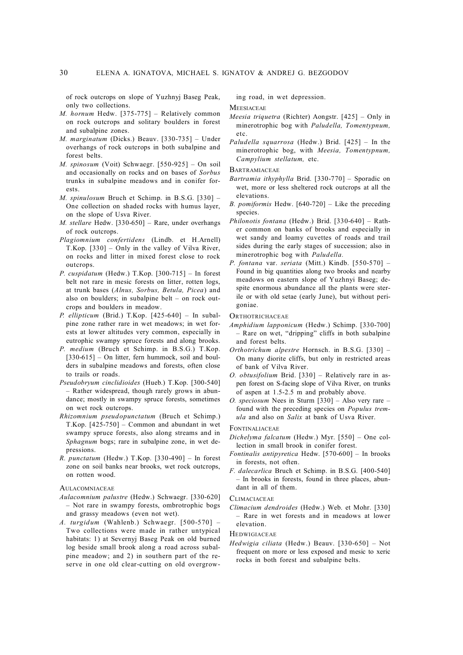of rock outcrops on slope of Yuzhnyj Baseg Peak, only two collections.

- *M. hornum* Hedw. [375-775] Relatively common on rock outcrops and solitary boulders in forest and subalpine zones.
- *M. marginatum* (Dicks.) Beauv. [330-735] Under overhangs of rock outcrops in both subalpine and forest belts.
- *M. spinosum* (Voit) Schwaegr. [550-925] On soil and occasionally on rocks and on bases of *Sorbus* trunks in subalpine meadows and in conifer forests.
- *M. spinulosum* Bruch et Schimp. in B.S.G. [330] One collection on shaded rocks with humus layer, on the slope of Usva River.
- *M. stellare* Hedw. [330-650] Rare, under overhangs of rock outcrops.
- *Plagiomnium confertidens* (Lindb. et H.Arnell) T.Kop. [330] – Only in the valley of Vilva River, on rocks and litter in mixed forest close to rock outcrops.
- *P. cuspidatum* (Hedw.) T.Kop. [300-715] In forest belt not rare in mesic forests on litter, rotten logs, at trunk bases (*Alnus, Sorbus, Betula, Picea*) and also on boulders; in subalpine belt – on rock outcrops and boulders in meadow.
- *P. ellipticum* (Brid.) T.Kop. [425-640] In subalpine zone rather rare in wet meadows; in wet forests at lower altitudes very common, especially in eutrophic swampy spruce forests and along brooks.
- *P. medium* (Bruch et Schimp. in B.S.G.) T.Kop.  $[330-615]$  – On litter, fern hummock, soil and boulders in subalpine meadows and forests, often close to trails or roads.
- *Pseudobryum cinclidioides* (Hueb.) T.Kop. [300-540] – Rather widespread, though rarely grows in abundance; mostly in swampy spruce forests, sometimes on wet rock outcrops.
- *Rhizomnium pseudopunctatum* (Bruch et Schimp.) T.Kop. [425-750] – Common and abundant in wet swampy spruce forests, also along streams and in *Sphagnum* bogs; rare in subalpine zone, in wet depressions.
- *R. punctatum* (Hedw.) T.Kop. [330-490] In forest zone on soil banks near brooks, wet rock outcrops, on rotten wood.

#### **AULACOMNIACEAE**

- *Aulacomnium palustre* (Hedw.) Schwaegr. [330-620] – Not rare in swampy forests, ombrotrophic bogs and grassy meadows (even not wet).
- *A. turgidum* (Wahlenb.) Schwaegr. [500-570] Two collections were made in rather untypical habitats: 1) at Severnyj Baseg Peak on old burned log beside small brook along a road across subalpine meadow; and 2) in southern part of the reserve in one old clear-cutting on old overgrow-

ing road, in wet depression.

**MEESIACEAE** 

- *Meesia triquetra* (Richter) Aongstr. [425] Only in minerotrophic bog with *Paludella, Tomentypnum,* etc.
- *Paludella squarrosa* (Hedw.) Brid. [425] In the minerotrophic bog, with *Meesia, Tomentypnum, Campylium stellatum,* etc.

**BARTRAMIACEAE** 

- *Bartramia ithyphylla* Brid. [330-770] Sporadic on wet, more or less sheltered rock outcrops at all the elevations.
- *B. pomiformis* Hedw. [640-720] Like the preceding species.
- *Philonotis fontana* (Hedw.) Brid. [330-640] Rather common on banks of brooks and especially in wet sandy and loamy cuvettes of roads and trail sides during the early stages of succession; also in minerotrophic bog with *Paludella.*
- *P. fontana* var. *seriata* (Mitt.) Kindb. [550-570] Found in big quantities along two brooks and nearby meadows on eastern slope of Yuzhnyi Baseg; despite enormous abundance all the plants were sterile or with old setae (early June), but without perigoniae.

#### **ORTHOTRICHACEAE**

- *Amphidium lapponicum* (Hedw.) Schimp. [330-700] – Rare on wet, "dripping" cliffs in both subalpine and forest belts.
- *Orthotrichum alpestre* Hornsch. in B.S.G. [330] On many diorite cliffs, but only in restricted areas of bank of Vilva River.
- *O. obtusifolium* Brid. [330] Relatively rare in aspen forest on S-facing slope of Vilva River, on trunks of aspen at 1.5-2.5 m and probably above.
- *O. speciosum* Nees in Sturm [330] Also very rare found with the preceding species on *Populus tremula* and also on *Salix* at bank of Usva River.

#### FONTINALIACEAE

- *Dichelyma falcatum* (Hedw.) Myr. [550] One collection in small brook in conifer forest.
- *Fontinalis antipyretica* Hedw. [570-600] In brooks in forests, not often.
- *F. dalecarlica* Bruch et Schimp. in B.S.G. [400-540] – In brooks in forests, found in three places, abundant in all of them.

## **CLIMACIACEAE**

*Climacium dendroides* (Hedw.) Web. et Mohr. [330] – Rare in wet forests and in meadows at lower elevation.

**HEDWIGIACEAE** 

*Hedwigia ciliata* (Hedw.) Beauv. [330-650] – Not frequent on more or less exposed and mesic to xeric rocks in both forest and subalpine belts.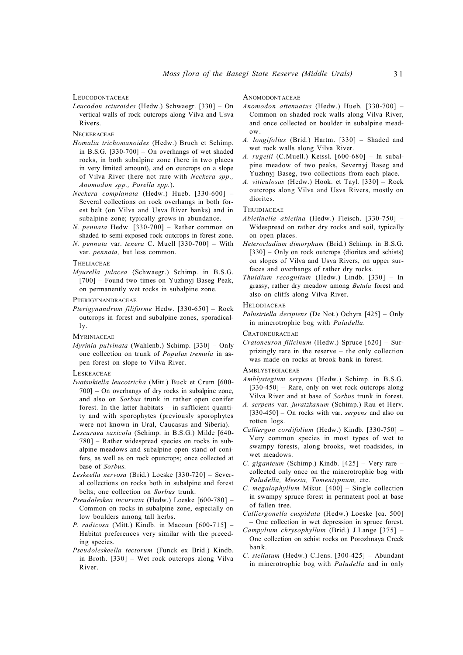#### LEUCODONTACEAE

*Leucodon sciuroides* (Hedw.) Schwaegr. [330] – On vertical walls of rock outcrops along Vilva and Usva Rivers.

**NECKERACEAE** 

- *Homalia trichomanoides* (Hedw.) Bruch et Schimp. in B.S.G. [330-700] – On overhangs of wet shaded rocks, in both subalpine zone (here in two places in very limited amount), and on outcrops on a slope of Vilva River (here not rare with *Neckera spp., Anomodon spp., Porella spp.*).
- *Neckera complanata* (Hedw.) Hueb. [330-600] Several collections on rock overhangs in both forest belt (on Vilva and Usva River banks) and in subalpine zone; typically grows in abundance.
- *N. pennata* Hedw. [330-700] Rather common on shaded to semi-exposed rock outcrops in forest zone.
- *N. pennata* var. *tenera* C. Muell [330-700] With var. *pennata,* but less common.

#### **THELIACEAE**

*Myurella julacea* (Schwaegr.) Schimp. in B.S.G. [700] – Found two times on Yuzhnyj Baseg Peak, on permanently wet rocks in subalpine zone.

**PTERIGYNANDRACEAE** 

*Pterigynandrum filiforme* Hedw. [330-650] – Rock outcrops in forest and subalpine zones, sporadically.

**MYRINIACEAE** 

*Myrinia pulvinata* (Wahlenb.) Schimp. [330] – Only one collection on trunk of *Populus tremula* in aspen forest on slope to Vilva River.

# **LESKEACEAE**

- *Iwatsukiella leucotricha* (Mitt.) Buck et Crum [600- 700] – On overhangs of dry rocks in subalpine zone, and also on *Sorbus* trunk in rather open conifer forest. In the latter habitats – in sufficient quantity and with sporophytes (previously sporophytes were not known in Ural, Caucasus and Siberia).
- *Lescuraea saxicola* (Schimp. in B.S.G.) Milde [640- 780] – Rather widespread species on rocks in subalpine meadows and subalpine open stand of conifers, as well as on rock oputcrops; once collected at base of *Sorbus.*
- *Leskeella nervosa* (Brid.) Loeske [330-720] Several collections on rocks both in subalpine and forest belts; one collection on *Sorbus* trunk.
- *Pseudoleskea incurvata* (Hedw.) Loeske [600-780] Common on rocks in subalpine zone, especially on low boulders among tall herbs.
- *P. radicosa* (Mitt.) Kindb. in Macoun [600-715] Habitat preferences very similar with the preceding species.
- *Pseudoleskeella tectorum* (Funck ex Brid.) Kindb. in Broth. [330] – Wet rock outcrops along Vilva River.

# **ANOMODONTACEAE**

- *Anomodon attenuatus* (Hedw.) Hueb. [330-700] Common on shaded rock walls along Vilva River, and once collected on boulder in subalpine meadow.
- *A. longifolius* (Brid.) Hartm. [330] Shaded and wet rock walls along Vilva River.
- *A. rugelii* (C.Muell.) Keissl. [600-680] In subalpine meadow of two peaks, Severnyj Baseg and Yuzhnyj Baseg, two collections from each place.
- *A. viticulosus* (Hedw.) Hook. et Tayl. [330] Rock outcrops along Vilva and Usva Rivers, mostly on diorites.

# **THUIDIACEAE**

- *Abietinella abietina* (Hedw.) Fleisch. [330-750] Widespread on rather dry rocks and soil, typically on open places.
- *Heterocladium dimorphum* (Brid.) Schimp. in B.S.G. [330] – Only on rock outcrops (diorites and schists) on slopes of Vilva and Usva Rivers, on upper surfaces and overhangs of rather dry rocks.
- *Thuidium recognitum* (Hedw.) Lindb. [330] In grassy, rather dry meadow among *Betula* forest and also on cliffs along Vilva River.

**HELODIACEAE** 

*Palustriella decipiens* (De Not.) Ochyra [425] – Only in minerotrophic bog with *Paludella.*

**CRATONEURACEAE** 

*Cratoneuron filicinum* (Hedw.) Spruce [620] – Surprizingly rare in the reserve – the only collection was made on rocks at brook bank in forest.

#### **AMBLYSTEGIACEAE**

- *Amblystegium serpens* (Hedw.) Schimp. in B.S.G.  $[330-450]$  – Rare, only on wet rock outcrops along Vilva River and at base of *Sorbus* trunk in forest.
- *A. serpens* var*. juratzkanum* (Schimp.) Rau et Herv. [330-450] – On rocks with var. *serpens* and also on rotten logs.
- *Calliergon cordifolium* (Hedw.) Kindb. [330-750] Very common species in most types of wet to swampy forests, along brooks, wet roadsides, in wet meadows.
- *C. giganteum* (Schimp.) Kindb. [425] Very rare collected only once on the minerotrophic bog with *Paludella, Meesia, Tomentypnum,* etc.
- *C. megalophyllum* Mikut. [400] Single collection in swampy spruce forest in permatent pool at base of fallen tree.
- *Calliergonella cuspidata* (Hedw.) Loeske [ca. 500] – One collection in wet depression in spruce forest.
- *Campylium chrysophyllum* (Brid.) J.Lange [375] One collection on schist rocks on Porozhnaya Creek bank.
- *C. stellatum* (Hedw.) C.Jens. [300-425] Abundant in minerotrophic bog with *Paludella* and in only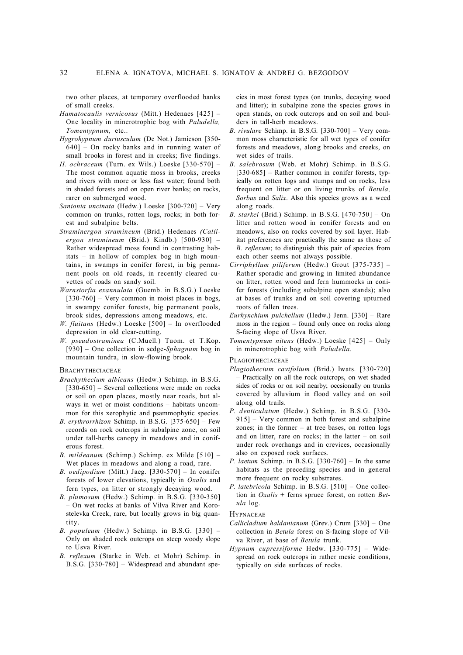two other places, at temporary overflooded banks of small creeks.

- *Hamatocaulis vernicosus* (Mitt.) Hedenaes [425] One locality in minerotrophic bog with *Paludella, Tomentypnum,* etc..
- *Hygrohypnum duriusculum* (De Not.) Jamieson [350- 640] – On rocky banks and in running water of small brooks in forest and in creeks; five findings.
- *H. ochraceum* (Turn. ex Wils.) Loeske [330-570] The most common aquatic moss in brooks, creeks and rivers with more or less fast water; found both in shaded forests and on open river banks; on rocks, rarer on submerged wood.
- *Sanionia uncinata* (Hedw.) Loeske [300-720] Very common on trunks, rotten logs, rocks; in both forest and subalpine belts.
- *Straminergon stramineum* (Brid.) Hedenaes *(Calliergon stramineum* (Brid.) Kindb.) [500-930] – Rather widespread moss found in contrasting habitats – in hollow of complex bog in high mountains, in swamps in conifer forest, in big permanent pools on old roads, in recently cleared cuvettes of roads on sandy soil.
- *Warnstorfia exannulata* (Guemb. in B.S.G.) Loeske  $[330-760]$  – Very common in moist places in bogs, in swampy conifer forests, big permanent pools, brook sides, depressions among meadows, etc.
- *W. fluitans* (Hedw.) Loeske [500] In overflooded depression in old clear-cutting.
- *W. pseudostraminea* (C.Muell.) Tuom. et T.Kop. [930] – One collection in sedge-*Sphagnum* bog in mountain tundra, in slow-flowing brook.

#### **BRACHYTHECIACEAE**

- *Brachythecium albicans* (Hedw.) Schimp. in B.S.G. [330-650] – Several collections were made on rocks or soil on open places, mostly near roads, but always in wet or moist conditions – habitats uncommon for this xerophytic and psammophytic species.
- *B. erythrorrhizon* Schimp. in B.S.G. [375-650] Few records on rock outcrops in subalpine zone, on soil under tall-herbs canopy in meadows and in coniferous forest.
- *B. mildeanum* (Schimp.) Schimp. ex Milde [510] Wet places in meadows and along a road, rare.
- *B. oedipodium* (Mitt.) Jaeg. [330-570] In conifer forests of lower elevations, typically in *Oxalis* and fern types, on litter or strongly decaying wood.
- *B. plumosum* (Hedw.) Schimp. in B.S.G. [330-350] – On wet rocks at banks of Vilva River and Korostelevka Creek, rare, but locally grows in big quantity.
- *B. populeum* (Hedw.) Schimp. in B.S.G. [330] Only on shaded rock outcrops on steep woody slope to Usva River.
- *B. reflexum* (Starke in Web. et Mohr) Schimp. in B.S.G. [330-780] – Widespread and abundant spe-

cies in most forest types (on trunks, decaying wood and litter); in subalpine zone the species grows in open stands, on rock outcrops and on soil and boulders in tall-herb meadows.

- *B. rivulare* Schimp. in B.S.G. [330-700] Very common moss characteristic for all wet types of conifer forests and meadows, along brooks and creeks, on wet sides of trails.
- *B. salebrosum* (Web. et Mohr) Schimp. in B.S.G. [330-685] – Rather common in conifer forests, typically on rotten logs and stumps and on rocks, less frequent on litter or on living trunks of *Betula, Sorbus* and *Salix*. Also this species grows as a weed along roads.
- *B. starkei* (Brid.) Schimp. in B.S.G. [470-750] On litter and rotten wood in conifer forests and on meadows, also on rocks covered by soil layer. Habitat preferences are practically the same as those of *B. reflexum*; to distinguish this pair of species from each other seems not always possible.
- *Cirriphyllum piliferum* (Hedw.) Grout [375-735] Rather sporadic and growing in limited abundance on litter, rotten wood and fern hummocks in conifer forests (including subalpine open stands); also at bases of trunks and on soil covering upturned roots of fallen trees.
- *Eurhynchium pulchellum* (Hedw.) Jenn. [330] Rare moss in the region – found only once on rocks along S-facing slope of Usva River.
- *Tomentypnum nitens* (Hedw.) Loeske [425] Only in minerotrophic bog with *Paludella.*

# PLAGIOTHECIACEAE

- *Plagiothecium cavifolium* (Brid.) Iwats. [330-720] – Practically on all the rock outcrops, on wet shaded sides of rocks or on soil nearby; occsionally on trunks covered by alluvium in flood valley and on soil along old trails.
- *P. denticulatum* (Hedw.) Schimp. in B.S.G. [330- 915] – Very common in both forest and subalpine zones; in the former – at tree bases, on rotten logs and on litter, rare on rocks; in the latter – on soil under rock overhangs and in crevices, occasionally also on exposed rock surfaces.
- *P. laetum* Schimp. in B.S.G. [330-760] In the same habitats as the preceding species and in general more frequent on rocky substrates.
- *P. latebricola* Schimp. in B.S.G. [510] One collection in *Oxalis* + ferns spruce forest, on rotten *Betula* log.

#### **HYPNACEAE**

- *Callicladium haldanianum* (Grev.) Crum [330] One collection in *Betula* forest on S-facing slope of Vilva River, at base of *Betula* trunk.
- *Hypnum cupressiforme* Hedw. [330-775] Widespread on rock outcrops in rather mesic conditions, typically on side surfaces of rocks.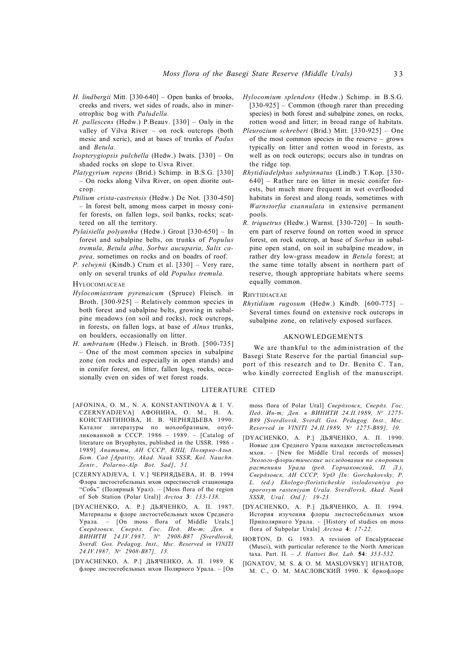- *H. lindbergii* Mitt. [330-640] Open banks of brooks, creeks and rivers, wet sides of roads, also in minerotrophic bog with *Paludella.*
- *H. pallescens* (Hedw.) P.Beauv. [330] Only in the valley of Vilva River – on rock outcrops (both mesic and xeric), and at bases of trunks of *Padus* and *Betula.*
- *Isopterygiopsis pulchella* (Hedw.) Iwats. [330] On shaded rocks on slope to Usva River.
- *Platygyrium repens* (Brid.) Schimp. in B.S.G. [330] – On rocks along Vilva River, on open diorite outcrop.
- *Ptilium crista-castrensis* (Hedw.) De Not. [330-450] – In forest belt, among moss carpet in mossy conifer forests, on fallen logs, soil banks, rocks; scattered on all the territory.
- *Pylaisiella polyantha* (Hedw.) Grout [330-650] In forest and subalpine belts, on trunks of *Populus tremula, Betula alba, Sorbus aucuparia, Salix caprea,* sometimes on rocks and on boadrs of roof.
- *P. selwynii* (Kindb.) Crum et al. [330] Very rare, only on several trunks of old *Populus tremula.*
- **HYLOCOMIACEAE**
- *Hylocomiastrum pyrenaicum* (Spruce) Fleisch. in Broth. [300-925] – Relatively common species in both forest and subalpine belts, growing in subalpine meadows (on soil and rocks), rock outcrops, in forests, on fallen logs, at base of *Alnus* trunks, on boulders, occasionally on litter.
- *H. umbratum* (Hedw.) Fleisch. in Broth. [500-735] – One of the most common species in subalpine zone (on rocks and especially in open stands) and in conifer forest, on litter, fallen logs, rocks, occasionally even on sides of wet forest roads.

#### LITERATURE CITED

- [AFONINA, O. M., N. A. KONSTANTINOVA & I. V. CZERNYADJEVA] АФОНИНА, О. М., Н. А. КОНСТАНТИНОВА, И. В. ЧЕРНЯДЬЕВА 1990. Каталог литературы по мохообразным, опубликованной в СССР. 1986 – 1989. – [Catalog of literature on Bryophytes, published in the USSR. 1986 - 1989] *Апатиты, АН СССР, КНЦ, Полярно-Альп. Бот. Сад [Apatity, Akad. Nauk SSSR, Kol. Nauchn. Zentr., Polarno-Alp. Bot. Sad], 51.*
- [CZERNYADJEVA, I. V.] ЧЕРНЯДЬЕВА, И. В. 1994 Флора листостебельных мхов окрестностей стационара "Собь" (Полярный Урал). – [Moss flora of the region of Sob Station (Polar Ural)] *Arctoa* **3**: *133-138.*
- [DYACHENKO, A. P.] ДЬЯЧЕНКО, А. П. 1987. Материалы к флоре листостебельных мхов Среднего Урала. – [On moss flora of Middle Urals.] *Свердловск, Свердл. Гос. Пед. Ин-т; Деп. в ВИНИТИ 24.IV.1987, N<sup>o</sup> 2908-B87 [Sverdlovsk, Sverdl. Gos. Pedagog. Inst., Msc. Reserved in VINITI 24.IV.1987, N<sup>o</sup> 2908-B87], 13.*
- [DYACHENKO, A. P.] ДЬЯЧЕНКО, А. П. 1989. К флоре листостебельных мхов Полярного Урала. – [On
- *Hylocomium splendens* (Hedw.) Schimp. in B.S.G. [330-925] – Common (though rarer than preceding species) in both forest and subalpine zones, on rocks, rotten wood and litter; in broad range of habitats.
- *Pleurozium schreberi* (Brid.) Mitt. [330-925] One of the most common species in the reserve – grows typically on litter and rotten wood in forests, as well as on rock outcrops; occurs also in tundras on the ridge top.
- *Rhytidiadelphus subpinnatus* (Lindb.) T.Kop. [330- 640] – Rather rare on litter in mesic conifer forests, but much more frequent in wet overflooded habitats in forest and along roads, sometimes with *Warnstorfia exannulata* in extensive permanent pools.
- *R. triquetrus* (Hedw.) Warnst. [330-720] In southern part of reserve found on rotten wood in spruce forest, on rock outcrop, at base of *Sorbus* in subalpine open stand, on soil in subalpine meadow, in rather dry low-grass meadow in *Betula* forest; at the same time totally absent in northern part of reserve, though appropriate habitats where seems equally common.

### **RHYTIDIACEAE**

*Rhytidium rugosum* (Hedw.) Kindb. [600-775] – Several times found on extensive rock outcrops in subalpine zone, on relatively exposed surfaces.

## AKNOWLEDGEMENTS

We are thankful to the administration of the Basegi State Reserve for the partial financial support of this research and to Dr. Benito C. Tan, who kindly corrected English of the manuscript.

moss flora of Polar Ural] *Свердловск, Свердл. Гос. Пед. Ин-т; Деп. в ВИНИТИ 24.II.1989, N<sup>o</sup> 1275- B89 [Sverdlovsk, Sverdl. Gos. Pedagog. Inst., Msc. Reserved in VINITI 24.II.1989, N<sup>o</sup> 1275-B89], 10.*

- [DYACHENKO, A. P.] ДЬЯЧЕНКО, А. П. 1990. Новые для Среднего Урала находки листостебельных мхов. – [New for Middle Ural records of mosses] *Эколого-флористические исследования по споровым растениям Урала (ред. Горчаковский, П. Л.), Свердловск, АН СССР, УрО [In: Gorchakovsky, P. L. (ed.) Ekologo-floristicheskie isslodovaniya po sporovym rasteniyam Urala. Sverdlovsk, Akad. Nauk SSSR, Ural. Otd.]: 19-23.*
- [DYACHENKO, A. P.] ДЬЯЧЕНКО, А. П. 1994. История изучения флоры листостебельных мхов Приполярного Урала. – [History of studies on moss flora of Subpolar Urals] *Arctoa* **4**: *17-22.*
- HORTON, D. G. 1983. A revision of Encalyptaceae (Musci), with particular reference to the North American taxa. Part. II. – *J. Hattori Bot. Lab.* **54**: *353-532.*
- [IGNATOV, M. S. & O. M. MASLOVSKY] ИГНАТОВ, М. С., О. М. МАСЛОВСКИЙ 1990. К бриофлоре